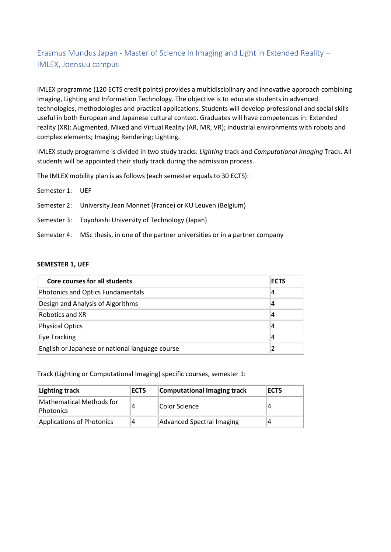# Erasmus Mundus Japan - Master of Science in Imaging and Light in Extended Reality – IMLEX, Joensuu campus

IMLEX programme (120 ECTS credit points) provides a multidisciplinary and innovative approach combining Imaging, Lighting and Information Technology. The objective is to educate students in advanced technologies, methodologies and practical applications. Students will develop professional and social skills useful in both European and Japanese cultural context. Graduates will have competences in: Extended reality (XR): Augmented, Mixed and Virtual Reality (AR, MR, VR); industrial environments with robots and complex elements; Imaging; Rendering; Lighting.

IMLEX study programme is divided in two study tracks: *Lighting* track and *Computational Imaging* Track. All students will be appointed their study track during the admission process.

The IMLEX mobility plan is as follows (each semester equals to 30 ECTS):

Semester 1: UEF

- Semester 2: University Jean Monnet (France) or KU Leuven (Belgium)
- Semester 3: Toyohashi University of Technology (Japan)
- Semester 4: MSc thesis, in one of the partner universities or in a partner company

#### **SEMESTER 1, UEF**

| Core courses for all students                   | ECTS |
|-------------------------------------------------|------|
| Photonics and Optics Fundamentals               |      |
| Design and Analysis of Algorithms               |      |
| Robotics and XR                                 |      |
| Physical Optics                                 | 4    |
| Eye Tracking                                    |      |
| English or Japanese or national language course |      |

Track (Lighting or Computational Imaging) specific courses, semester 1:

| Lighting track                        | <b>ECTS</b> | Computational Imaging track | <b>ECTS</b> |
|---------------------------------------|-------------|-----------------------------|-------------|
| Mathematical Methods for<br>Photonics |             | Color Science               |             |
| Applications of Photonics             | 4           | Advanced Spectral Imaging   |             |